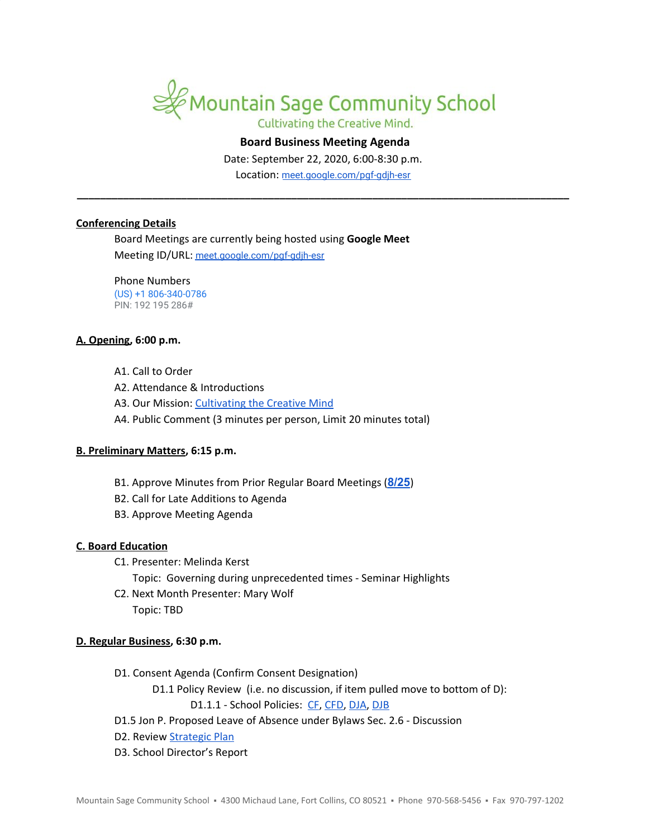

Cultivating the Creative Mind.

# **Board Business Meeting Agenda**

Date: September 22, 2020, 6:00-8:30 p.m.

Location: [meet.google.com/pgf-gdjh-esr](http://meet.google.com/pgf-gdjh-esr) **\_\_\_\_\_\_\_\_\_\_\_\_\_\_\_\_\_\_\_\_\_\_\_\_\_\_\_\_\_\_\_\_\_\_\_\_\_\_\_\_\_\_\_\_\_\_\_\_\_\_\_\_\_\_\_\_\_\_\_\_\_\_\_\_\_\_\_\_\_\_\_\_\_\_\_\_\_\_\_\_\_\_\_\_\_**

#### **Conferencing Details**

Board Meetings are currently being hosted using **Google Meet** Meeting ID/URL: [meet.google.com/pgf-gdjh-esr](http://meet.google.com/pgf-gdjh-esr)

Phone Numbers (US) +1 806-340-0786 PIN: 192 195 286#

#### **A. Opening, 6:00 p.m.**

- A1. Call to Order
- A2. Attendance & Introductions
- A3. Our Mission: [Cultivating](https://www.mountainsage.org/about-us/mission-and-vision/) the Creative Mind
- A4. Public Comment (3 minutes per person, Limit 20 minutes total)

# **B. Preliminary Matters, 6:15 p.m.**

- B1. Approve Minutes from Prior Regular Board Meetings (**[8/25](https://docs.google.com/document/d/14F3SqXs-TaoUA5pHmSBb4KZL1WUBrqr9cbKTwXkMCfs)**)
- B2. Call for Late Additions to Agenda
- B3. Approve Meeting Agenda

# **C. Board Education**

- C1. Presenter: Melinda Kerst
	- Topic: Governing during unprecedented times Seminar Highlights
- C2. Next Month Presenter: Mary Wolf Topic: TBD

# **D. Regular Business, 6:30 p.m.**

- D1. Consent Agenda (Confirm Consent Designation)
	- D1.1 Policy Review (i.e. no discussion, if item pulled move to bottom of D):

D1.1.1 - School Policies: [CF,](https://drive.google.com/open?id=1Xxv2T6bQArqSfjBd4NWvmduf7cER1CPDxfaR-UgM4ik) [CFD,](https://drive.google.com/open?id=1pmw9tX3WnFFmGuxgkjZ-Bmnv9B-qH_WDH1cjkRhDlqc) [DJA](https://drive.google.com/open?id=1oNPkij6QxnnLRpaLnsPPV7DWoyXqQcGe_oM_2CjkPSg), [DJB](https://drive.google.com/open?id=11I7KnqlJ6R5EJmYRfi3xjFpkdvCUzZPihKCKHFzdwsg)

- D1.5 Jon P. Proposed Leave of Absence under Bylaws Sec. 2.6 Discussion
- D2. Review [Strategic](https://docs.google.com/spreadsheets/d/1ZcsDhIjaJBoVOI2OMPaYkghgZi_yR7rn31ELgbvqf3E/view) Plan
- D3. School Director's Report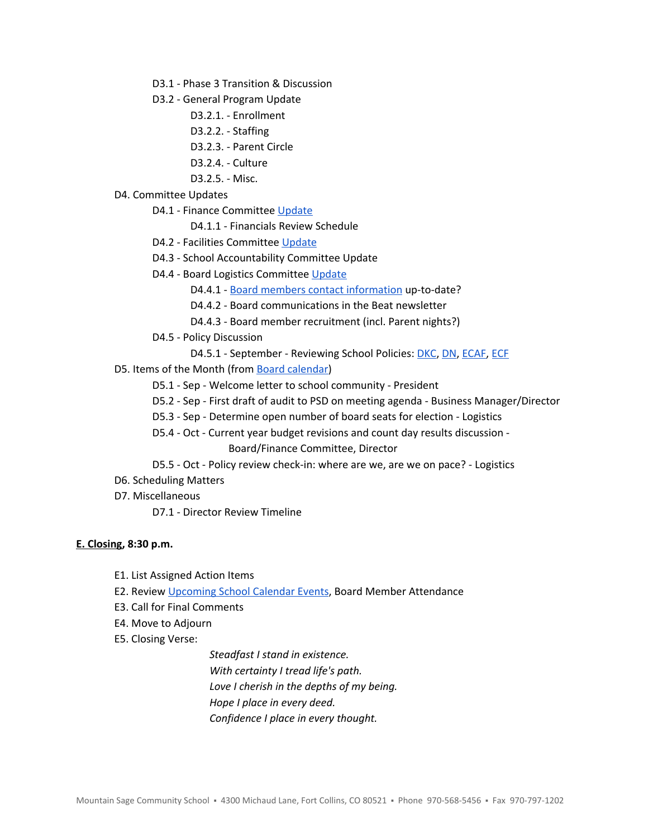- D3.1 Phase 3 Transition & Discussion
- D3.2 General Program Update
	- D3.2.1. Enrollment
	- D3.2.2. Staffing
	- D3.2.3. Parent Circle
	- D3.2.4. Culture
	- D3.2.5. Misc.

#### D4. Committee Updates

- D4.1 Finance Committee [Update](https://docs.google.com/document/d/1DgQJiCCj277N2raKNXrHRpw58jvjEjFpkLvW45vW-IA)
	- D4.1.1 Financials Review Schedule
- D4.2 Facilities Committee [Update](https://docs.google.com/document/d/1t_PYsjHj-ruXudKataZK2ybJkQVebEsPieLKdYL7DyM)
- D4.3 School Accountability Committee Update
- D4.4 Board Logistics Committee [Update](https://docs.google.com/document/d/1JfEcGYIMrqGmkwi1sJ11Y9QZgSiQ4PtdBicVtp93N30)
	- D4.4.1 Board members contact [information](https://docs.google.com/spreadsheets/d/1JMx7n0mobK7MQZG2Fxwi_Uptk6kkvUmtb7znG1WzC4A) up-to-date?
	- D4.4.2 Board communications in the Beat newsletter
	- D4.4.3 Board member recruitment (incl. Parent nights?)
- D4.5 Policy Discussion
	- D4.5.1 September Reviewing School Policies: [DKC](https://drive.google.com/open?id=1t0zO6vXC_h3G_EcJu1UZNcMRi75sEiSqoDYrBq8SVq4), [DN](https://drive.google.com/open?id=1W_coSYJPuJFNflUq1nr7XwSFfWkJpxueVx3ZhXcEjnM), [ECAF,](https://drive.google.com/open?id=1rjyKgycftkPXRhtKFf8xLejHk6rv8R-17ZC49EzO8YA) [ECF](https://drive.google.com/open?id=1Knkhdx0RQRhYofki-GwUS_0kGYD8ZsWaihOwWxrccWA)
- D5. Items of the Month (from Board [calendar](https://docs.google.com/document/d/12S6s-qevYMsnj8Cr2yw6uMO7S7hL3gz2oKvXZk5ZndQ/edit?usp=sharing))
	- D5.1 Sep Welcome letter to school community President
	- D5.2 Sep First draft of audit to PSD on meeting agenda Business Manager/Director
	- D5.3 Sep Determine open number of board seats for election Logistics
	- D5.4 Oct Current year budget revisions and count day results discussion Board/Finance Committee, Director
	- D5.5 Oct Policy review check-in: where are we, are we on pace? Logistics
- D6. Scheduling Matters
- D7. Miscellaneous
	- D7.1 Director Review Timeline

#### **E. Closing, 8:30 p.m.**

- E1. List Assigned Action Items
- E2. Review [Upcoming](https://www.mountainsage.org/calendars/) School Calendar Events, Board Member Attendance
- E3. Call for Final Comments
- E4. Move to Adjourn
- E5. Closing Verse:

*Steadfast I stand in existence. With certainty I tread life's path. Love I cherish in the depths of my being. Hope I place in every deed. Confidence I place in every thought.*